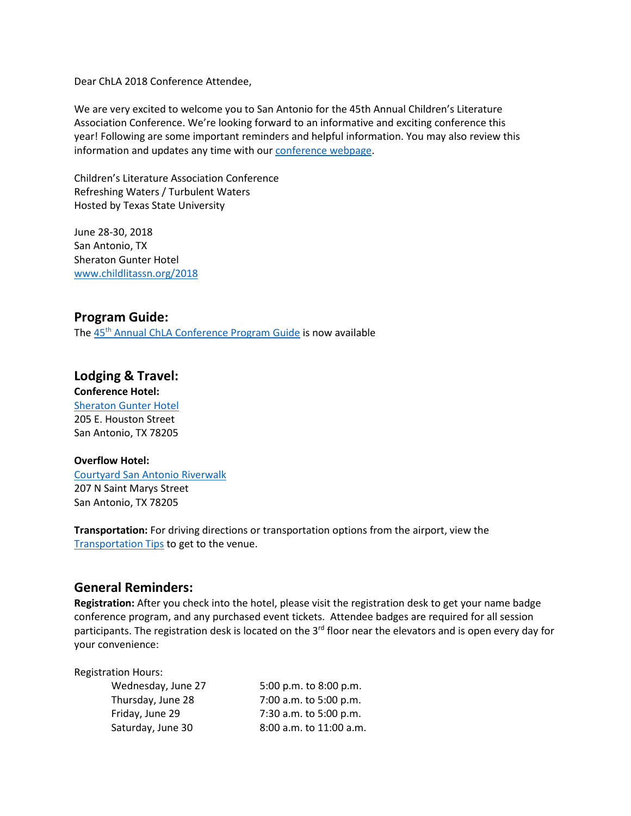Dear ChLA 2018 Conference Attendee,

We are very excited to welcome you to San Antonio for the 45th Annual Children's Literature Association Conference. We're looking forward to an informative and exciting conference this year! Following are some important reminders and helpful information. You may also review this information and updates any time with our [conference webpage.](http://www.childlitassn.org/2018)

Children's Literature Association Conference Refreshing Waters / Turbulent Waters Hosted by Texas State University

June 28-30, 2018 San Antonio, TX Sheraton Gunter Hotel [www.childlitassn.org/2018](https://chla.memberclicks.net/2018)

#### **Program Guide:**

The 45<sup>th</sup> [Annual ChLA Conference Program Guide](https://chla.memberclicks.net/assets/docs/2018%20Program%20Guide_Final.pdf) is now available

#### **Lodging & Travel:**

**Conference Hotel:**  [Sheraton Gunter Hotel](http://www.sheratongunter.com/) 205 E. Houston Street San Antonio, TX 78205

#### **Overflow Hotel:**

[Courtyard San Antonio Riverwalk](https://www.marriott.com/hotels/travel/satcr-courtyard-san-antonio-riverwalk/) 207 N Saint Marys Street San Antonio, TX 78205

**Transportation:** For driving directions or transportation options from the airport, view the [Transportation Tips](https://chla.memberclicks.net/assets/docs/2018conf/TranspoToGunterChLA2018%20(002).pdf) to get to the venue.

#### **General Reminders:**

**Registration:** After you check into the hotel, please visit the registration desk to get your name badge conference program, and any purchased event tickets. Attendee badges are required for all session participants. The registration desk is located on the 3<sup>rd</sup> floor near the elevators and is open every day for your convenience:

| 5:00 p.m. to 8:00 p.m.  |
|-------------------------|
| 7:00 a.m. to 5:00 p.m.  |
| 7:30 a.m. to 5:00 p.m.  |
| 8:00 a.m. to 11:00 a.m. |
|                         |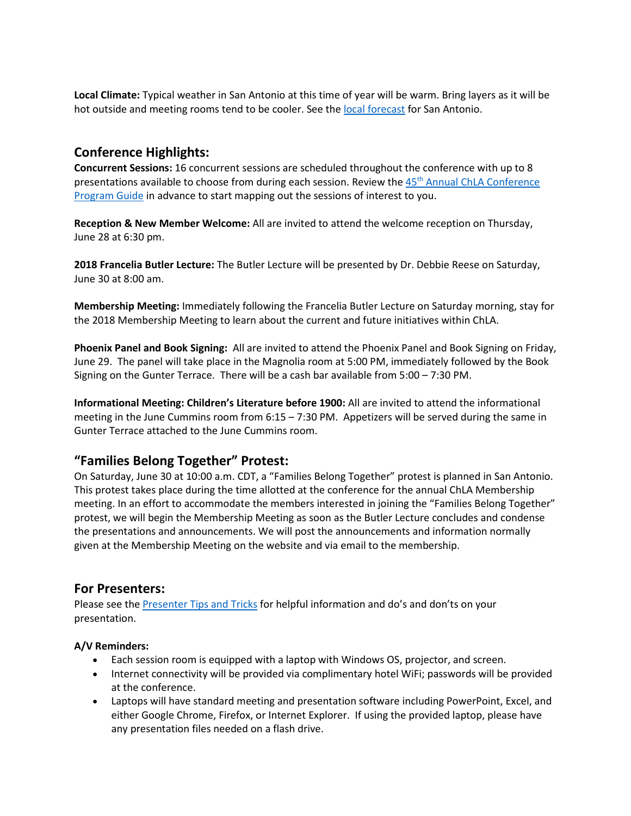**Local Climate:** Typical weather in San Antonio at this time of year will be warm. Bring layers as it will be hot outside and meeting rooms tend to be cooler. See th[e local forecast](https://weather.com/weather/today/l/USTX1200:1:US) for San Antonio.

# **Conference Highlights:**

**Concurrent Sessions:** 16 concurrent sessions are scheduled throughout the conference with up to 8 presentations available to choose from during each session. Review the 45<sup>th</sup> Annual ChLA Conference [Program Guide](https://chla.memberclicks.net/assets/docs/2018%20Program%20Guide_Final.pdf) in advance to start mapping out the sessions of interest to you.

**Reception & New Member Welcome:** All are invited to attend the welcome reception on Thursday, June 28 at 6:30 pm.

**2018 Francelia Butler Lecture:** The Butler Lecture will be presented by Dr. Debbie Reese on Saturday, June 30 at 8:00 am.

**Membership Meeting:** Immediately following the Francelia Butler Lecture on Saturday morning, stay for the 2018 Membership Meeting to learn about the current and future initiatives within ChLA.

**Phoenix Panel and Book Signing:** All are invited to attend the Phoenix Panel and Book Signing on Friday, June 29. The panel will take place in the Magnolia room at 5:00 PM, immediately followed by the Book Signing on the Gunter Terrace. There will be a cash bar available from 5:00 – 7:30 PM.

**Informational Meeting: Children's Literature before 1900:** All are invited to attend the informational meeting in the June Cummins room from 6:15 – 7:30 PM. Appetizers will be served during the same in Gunter Terrace attached to the June Cummins room.

## **"Families Belong Together" Protest:**

On Saturday, June 30 at 10:00 a.m. CDT, a "Families Belong Together" protest is planned in San Antonio. This protest takes place during the time allotted at the conference for the annual ChLA Membership meeting. In an effort to accommodate the members interested in joining the "Families Belong Together" protest, we will begin the Membership Meeting as soon as the Butler Lecture concludes and condense the presentations and announcements. We will post the announcements and information normally given at the Membership Meeting on the website and via email to the membership.

## **For Presenters:**

Please see the [Presenter Tips and Tricks](https://chla.memberclicks.net/assets/tips%20and%20tricks.pdf) for helpful information and do's and don'ts on your presentation.

#### **A/V Reminders:**

- Each session room is equipped with a laptop with Windows OS, projector, and screen.
- Internet connectivity will be provided via complimentary hotel WiFi; passwords will be provided at the conference.
- Laptops will have standard meeting and presentation software including PowerPoint, Excel, and either Google Chrome, Firefox, or Internet Explorer. If using the provided laptop, please have any presentation files needed on a flash drive.